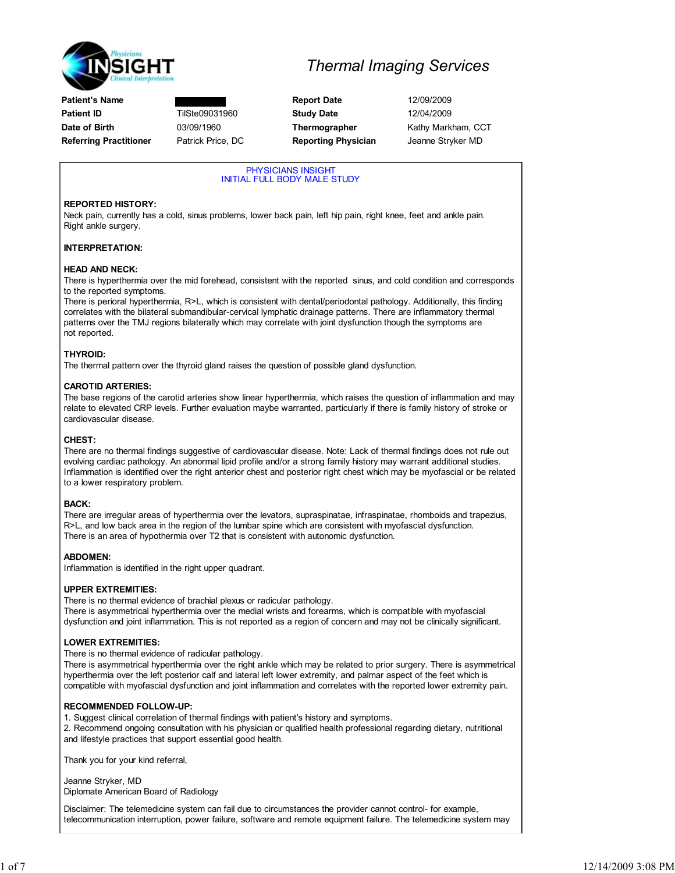

## Thermal Imaging Services

PHYSICIANS INSIGHT INITIAL FULL BODY MALE STUDY

### REPORTED HISTORY:

Neck pain, currently has a cold, sinus problems, lower back pain, left hip pain, right knee, feet and ankle pain. Right ankle surgery.

### INTERPRETATION:

### HEAD AND NECK:

There is hyperthermia over the mid forehead, consistent with the reported sinus, and cold condition and corresponds to the reported symptoms.

There is perioral hyperthermia, R>L, which is consistent with dental/periodontal pathology. Additionally, this finding correlates with the bilateral submandibular-cervical lymphatic drainage patterns. There are inflammatory thermal patterns over the TMJ regions bilaterally which may correlate with joint dysfunction though the symptoms are not reported.

### THYROID:

The thermal pattern over the thyroid gland raises the question of possible gland dysfunction.

### CAROTID ARTERIES:

The base regions of the carotid arteries show linear hyperthermia, which raises the question of inflammation and may relate to elevated CRP levels. Further evaluation maybe warranted, particularly if there is family history of stroke or cardiovascular disease.

### CHEST:

There are no thermal findings suggestive of cardiovascular disease. Note: Lack of thermal findings does not rule out evolving cardiac pathology. An abnormal lipid profile and/or a strong family history may warrant additional studies. Inflammation is identified over the right anterior chest and posterior right chest which may be myofascial or be related to a lower respiratory problem.

## BACK:

There are irregular areas of hyperthermia over the levators, supraspinatae, infraspinatae, rhomboids and trapezius, R>L, and low back area in the region of the lumbar spine which are consistent with myofascial dysfunction. There is an area of hypothermia over T2 that is consistent with autonomic dysfunction.

## ABDOMEN:

Inflammation is identified in the right upper quadrant.

### UPPER EXTREMITIES:

There is no thermal evidence of brachial plexus or radicular pathology. There is asymmetrical hyperthermia over the medial wrists and forearms, which is compatible with myofascial dysfunction and joint inflammation. This is not reported as a region of concern and may not be clinically significant.

### LOWER EXTREMITIES:

There is no thermal evidence of radicular pathology.

There is asymmetrical hyperthermia over the right ankle which may be related to prior surgery. There is asymmetrical hyperthermia over the left posterior calf and lateral left lower extremity, and palmar aspect of the feet which is compatible with myofascial dysfunction and joint inflammation and correlates with the reported lower extremity pain.

### RECOMMENDED FOLLOW-UP:

1. Suggest clinical correlation of thermal findings with patient's history and symptoms. 2. Recommend ongoing consultation with his physician or qualified health professional regarding dietary, nutritional and lifestyle practices that support essential good health.

Thank you for your kind referral,

Jeanne Stryker, MD Diplomate American Board of Radiology

Disclaimer: The telemedicine system can fail due to circumstances the provider cannot control- for example, telecommunication interruption, power failure, software and remote equipment failure. The telemedicine system may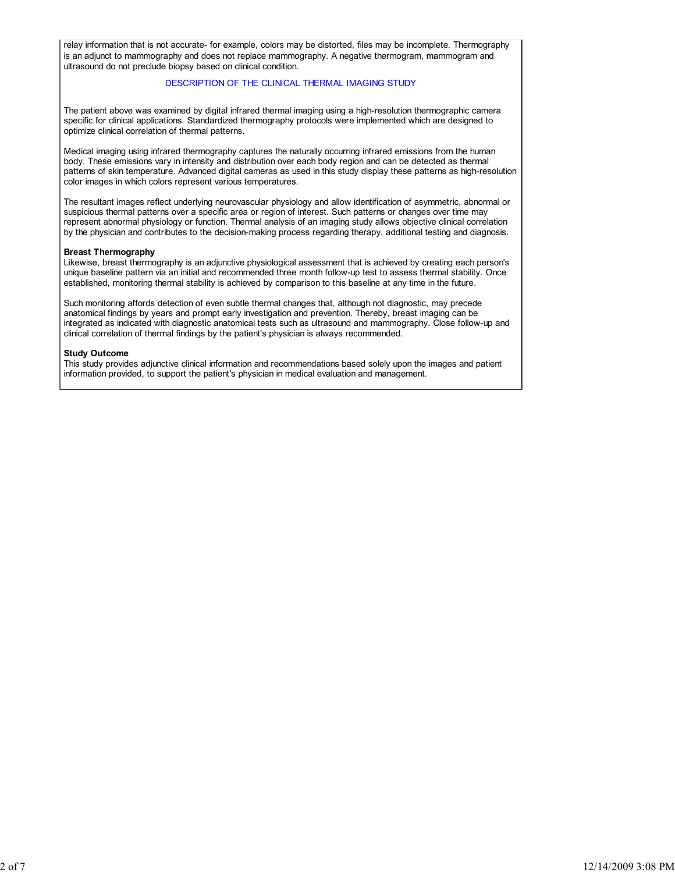relay information that is not accurate- for example, colors may be distorted, files may be incomplete. Thermography is an adjunct to mammography and does not replace mammography. A negative thermogram, mammogram and ultrasound do not preclude biopsy based on clinical condition.

### DESCRIPTION OF THE CLINICAL THERMAL IMAGING STUDY

The patient above was examined by digital infrared thermal imaging using a high-resolution thermographic camera specific for clinical applications. Standardized thermography protocols were implemented which are designed to optimize clinical correlation of thermal patterns.

Medical imaging using infrared thermography captures the naturally occurring infrared emissions from the human body. These emissions vary in intensity and distribution over each body region and can be detected as thermal patterns of skin temperature. Advanced digital cameras as used in this study display these patterns as high-resolution color images in which colors represent various temperatures.

The resultant images reflect underlying neurovascular physiology and allow identification of asymmetric, abnormal or suspicious thermal patterns over a specific area or region of interest. Such patterns or changes over time may represent abnormal physiology or function. Thermal analysis of an imaging study allows objective clinical correlation by the physician and contributes to the decision-making process regarding therapy, additional testing and diagnosis.

#### Breast Thermography

Likewise, breast thermography is an adjunctive physiological assessment that is achieved by creating each person's unique baseline pattern via an initial and recommended three month follow-up test to assess thermal stability. Once established, monitoring thermal stability is achieved by comparison to this baseline at any time in the future.

Such monitoring affords detection of even subtle thermal changes that, although not diagnostic, may precede anatomical findings by years and prompt early investigation and prevention. Thereby, breast imaging can be integrated as indicated with diagnostic anatomical tests such as ultrasound and mammography. Close follow-up and clinical correlation of thermal findings by the patient's physician is always recommended.

#### Study Outcome

This study provides adjunctive clinical information and recommendations based solely upon the images and patient information provided, to support the patient's physician in medical evaluation and management.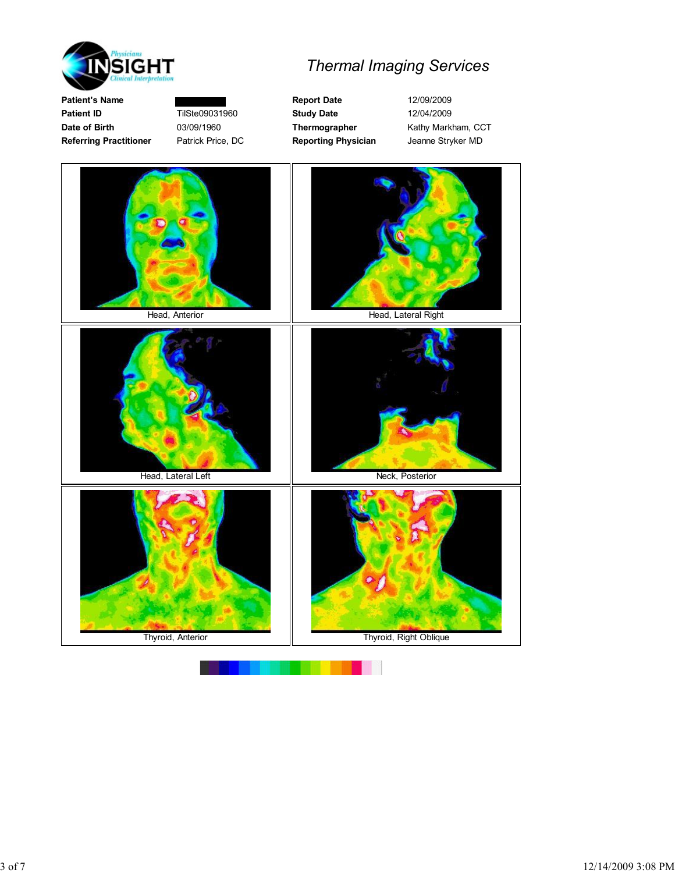

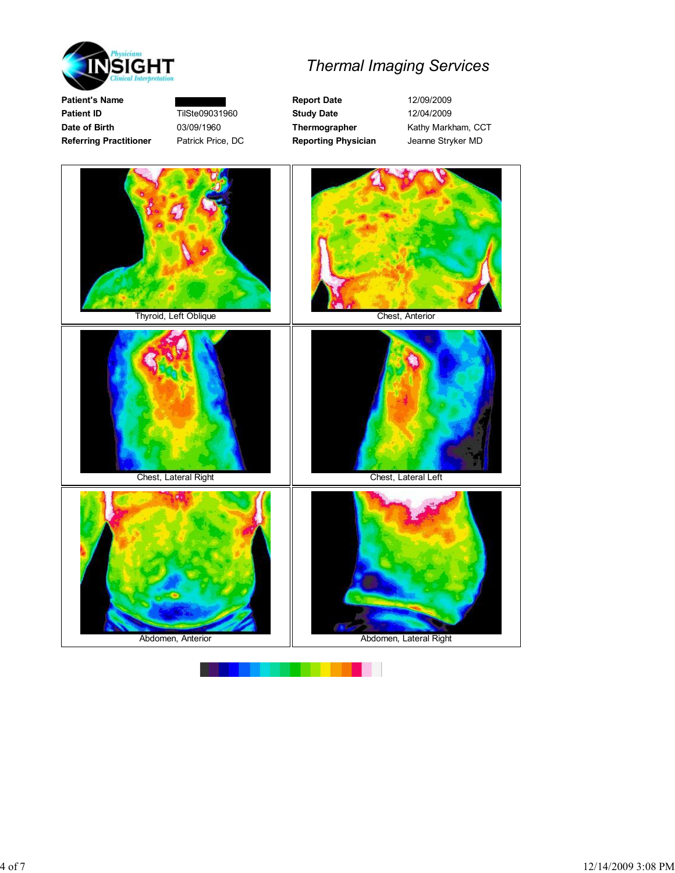



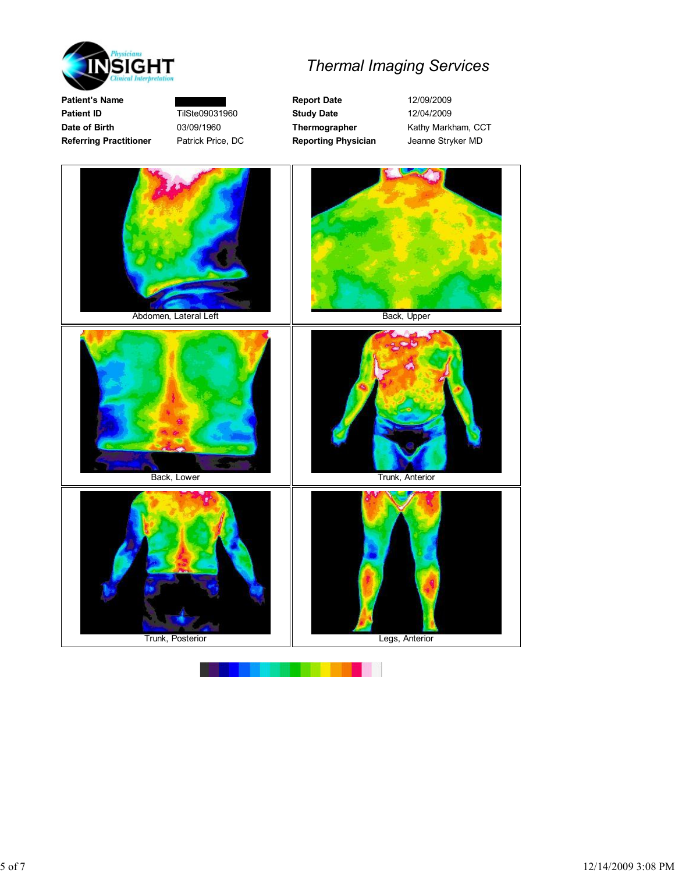

# Thermal Imaging Services

Patient's Name **Report Date** 12/09/2009 Patient ID **TilSte09031960** Study Date 12/04/2009 Date of Birth 03/09/1960 Thermographer Kathy Markham, CCT Referring Practitioner Patrick Price, DC Reporting Physician Jeanne Stryker MD

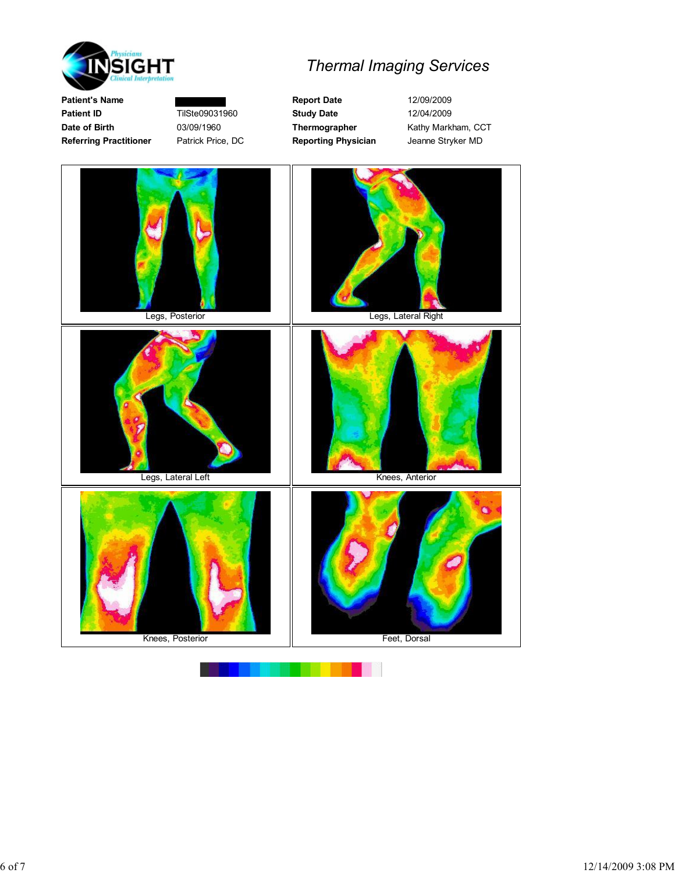